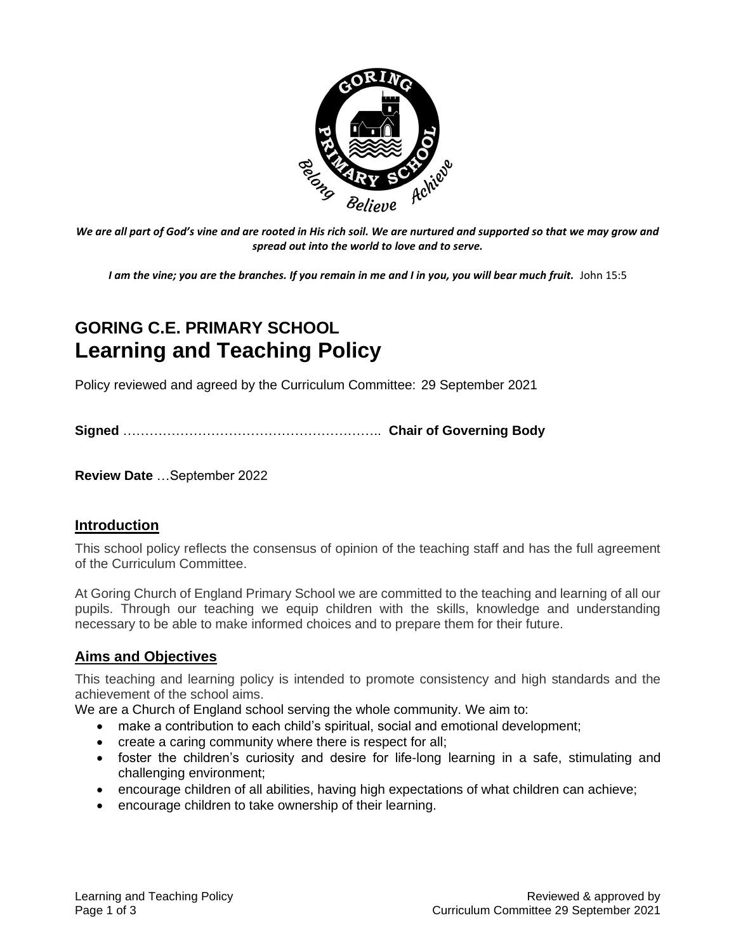

We are all part of God's vine and are rooted in His rich soil. We are nurtured and supported so that we may grow and *spread out into the world to love and to serve.*

*I am the vine; you are the branches. If you remain in me and I in you, you will bear much fruit.* John 15:5

# **GORING C.E. PRIMARY SCHOOL Learning and Teaching Policy**

Policy reviewed and agreed by the Curriculum Committee: 29 September 2021

**Signed** ………………………………………………….. **Chair of Governing Body**

**Review Date** …September 2022

#### **Introduction**

This school policy reflects the consensus of opinion of the teaching staff and has the full agreement of the Curriculum Committee.

At Goring Church of England Primary School we are committed to the teaching and learning of all our pupils. Through our teaching we equip children with the skills, knowledge and understanding necessary to be able to make informed choices and to prepare them for their future.

#### **Aims and Objectives**

This teaching and learning policy is intended to promote consistency and high standards and the achievement of the school aims.

We are a Church of England school serving the whole community. We aim to:

- make a contribution to each child's spiritual, social and emotional development;
- create a caring community where there is respect for all;
- foster the children's curiosity and desire for life-long learning in a safe, stimulating and challenging environment;
- encourage children of all abilities, having high expectations of what children can achieve;
- encourage children to take ownership of their learning.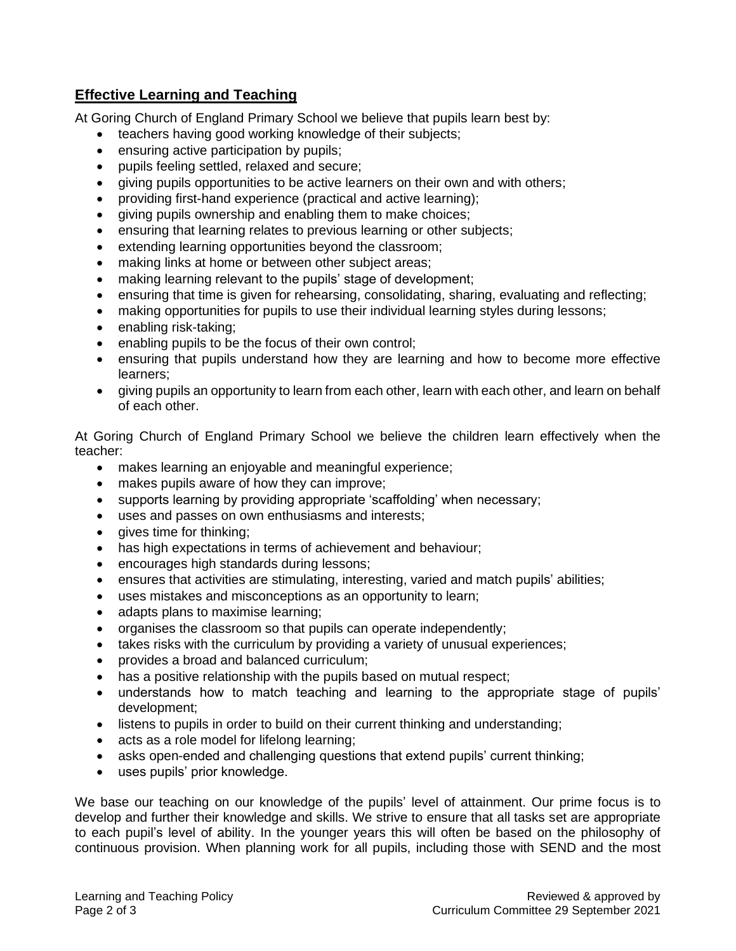## **Effective Learning and Teaching**

At Goring Church of England Primary School we believe that pupils learn best by:

- teachers having good working knowledge of their subjects;
- ensuring active participation by pupils;
- pupils feeling settled, relaxed and secure;
- giving pupils opportunities to be active learners on their own and with others;
- providing first-hand experience (practical and active learning);
- giving pupils ownership and enabling them to make choices;
- ensuring that learning relates to previous learning or other subjects;
- extending learning opportunities beyond the classroom;
- making links at home or between other subject areas;
- making learning relevant to the pupils' stage of development;
- ensuring that time is given for rehearsing, consolidating, sharing, evaluating and reflecting;
- making opportunities for pupils to use their individual learning styles during lessons;
- enabling risk-taking;
- enabling pupils to be the focus of their own control;
- ensuring that pupils understand how they are learning and how to become more effective learners;
- giving pupils an opportunity to learn from each other, learn with each other, and learn on behalf of each other.

At Goring Church of England Primary School we believe the children learn effectively when the teacher:

- makes learning an enjoyable and meaningful experience;
- makes pupils aware of how they can improve;
- supports learning by providing appropriate 'scaffolding' when necessary;
- uses and passes on own enthusiasms and interests;
- gives time for thinking;
- has high expectations in terms of achievement and behaviour;
- encourages high standards during lessons;
- ensures that activities are stimulating, interesting, varied and match pupils' abilities;
- uses mistakes and misconceptions as an opportunity to learn;
- adapts plans to maximise learning;
- organises the classroom so that pupils can operate independently;
- takes risks with the curriculum by providing a variety of unusual experiences;
- provides a broad and balanced curriculum;
- has a positive relationship with the pupils based on mutual respect;
- understands how to match teaching and learning to the appropriate stage of pupils' development;
- listens to pupils in order to build on their current thinking and understanding;
- acts as a role model for lifelong learning;
- asks open-ended and challenging questions that extend pupils' current thinking;
- uses pupils' prior knowledge.

We base our teaching on our knowledge of the pupils' level of attainment. Our prime focus is to develop and further their knowledge and skills. We strive to ensure that all tasks set are appropriate to each pupil's level of ability. In the younger years this will often be based on the philosophy of continuous provision. When planning work for all pupils, including those with SEND and the most